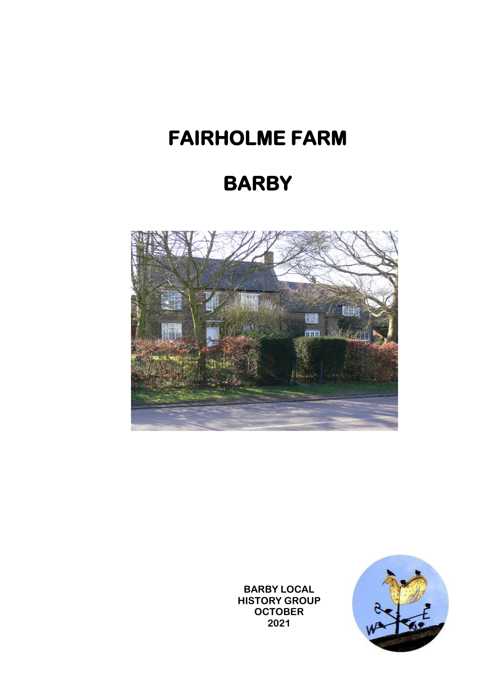## **FAIRHOLME FARM**

## **BARBY**



**BARBY LOCAL HISTORY GROUP OCTOBER 2021**

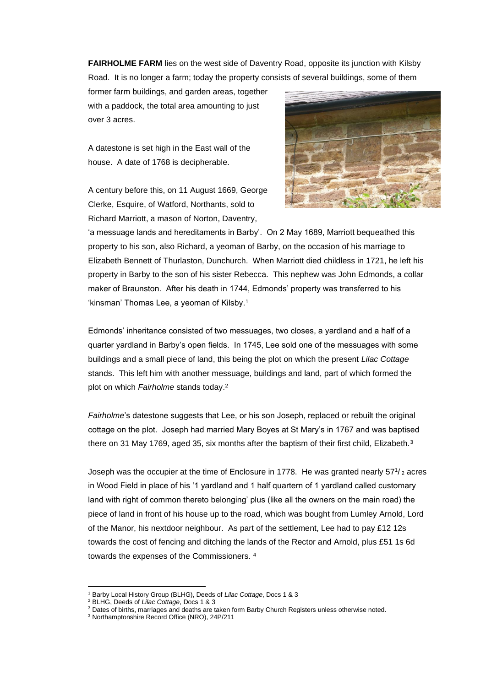**FAIRHOLME FARM** lies on the west side of Daventry Road, opposite its junction with Kilsby Road. It is no longer a farm; today the property consists of several buildings, some of them

former farm buildings, and garden areas, together with a paddock, the total area amounting to just over 3 acres.

A datestone is set high in the East wall of the house. A date of 1768 is decipherable.

A century before this, on 11 August 1669, George Clerke, Esquire, of Watford, Northants, sold to Richard Marriott, a mason of Norton, Daventry,



'a messuage lands and hereditaments in Barby'. On 2 May 1689, Marriott bequeathed this property to his son, also Richard, a yeoman of Barby, on the occasion of his marriage to Elizabeth Bennett of Thurlaston, Dunchurch. When Marriott died childless in 1721, he left his property in Barby to the son of his sister Rebecca. This nephew was John Edmonds, a collar maker of Braunston. After his death in 1744, Edmonds' property was transferred to his 'kinsman' Thomas Lee, a yeoman of Kilsby.<sup>1</sup>

Edmonds' inheritance consisted of two messuages, two closes, a yardland and a half of a quarter yardland in Barby's open fields. In 1745, Lee sold one of the messuages with some buildings and a small piece of land, this being the plot on which the present *Lilac Cottage* stands. This left him with another messuage, buildings and land, part of which formed the plot on which *Fairholme* stands today.<sup>2</sup>

*Fairholme*'s datestone suggests that Lee, or his son Joseph, replaced or rebuilt the original cottage on the plot. Joseph had married Mary Boyes at St Mary's in 1767 and was baptised there on 31 May 1769, aged 35, six months after the baptism of their first child, Elizabeth.<sup>3</sup>

Joseph was the occupier at the time of Enclosure in 1778. He was granted nearly 57<sup>1</sup>/<sub>2</sub> acres in Wood Field in place of his '1 yardland and 1 half quartern of 1 yardland called customary land with right of common thereto belonging' plus (like all the owners on the main road) the piece of land in front of his house up to the road, which was bought from Lumley Arnold, Lord of the Manor, his nextdoor neighbour. As part of the settlement, Lee had to pay £12 12s towards the cost of fencing and ditching the lands of the Rector and Arnold, plus £51 1s 6d towards the expenses of the Commissioners. <sup>4</sup>

<sup>1</sup> Barby Local History Group (BLHG), Deeds of *Lilac Cottage*, Docs 1 & 3

<sup>2</sup> BLHG, Deeds of *Lilac Cottage*, Docs 1 & 3

<sup>&</sup>lt;sup>3</sup> Dates of births, marriages and deaths are taken form Barby Church Registers unless otherwise noted.

<sup>3</sup> Northamptonshire Record Office (NRO), 24P/211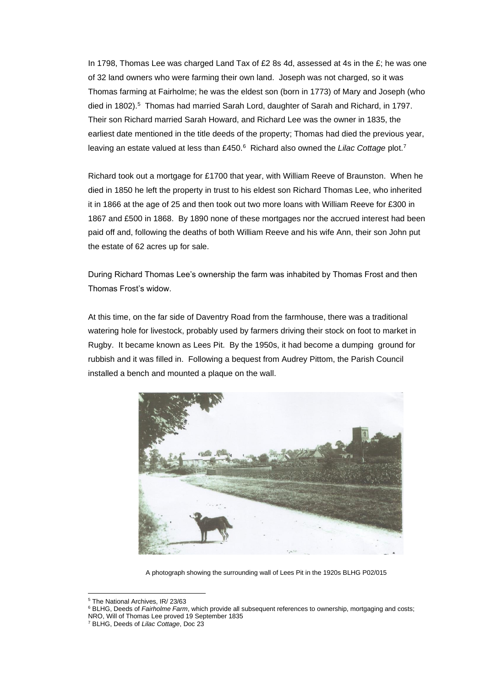In 1798, Thomas Lee was charged Land Tax of £2 8s 4d, assessed at 4s in the  $\mathcal{E}$ ; he was one of 32 land owners who were farming their own land. Joseph was not charged, so it was Thomas farming at Fairholme; he was the eldest son (born in 1773) of Mary and Joseph (who died in 1802).<sup>5</sup> Thomas had married Sarah Lord, daughter of Sarah and Richard, in 1797. Their son Richard married Sarah Howard, and Richard Lee was the owner in 1835, the earliest date mentioned in the title deeds of the property; Thomas had died the previous year, leaving an estate valued at less than £450.<sup>6</sup> Richard also owned the *Lilac Cottage* plot.<sup>7</sup>

Richard took out a mortgage for £1700 that year, with William Reeve of Braunston. When he died in 1850 he left the property in trust to his eldest son Richard Thomas Lee, who inherited it in 1866 at the age of 25 and then took out two more loans with William Reeve for £300 in 1867 and £500 in 1868. By 1890 none of these mortgages nor the accrued interest had been paid off and, following the deaths of both William Reeve and his wife Ann, their son John put the estate of 62 acres up for sale.

During Richard Thomas Lee's ownership the farm was inhabited by Thomas Frost and then Thomas Frost's widow.

At this time, on the far side of Daventry Road from the farmhouse, there was a traditional watering hole for livestock, probably used by farmers driving their stock on foot to market in Rugby. It became known as Lees Pit. By the 1950s, it had become a dumping ground for rubbish and it was filled in. Following a bequest from Audrey Pittom, the Parish Council installed a bench and mounted a plaque on the wall.



A photograph showing the surrounding wall of Lees Pit in the 1920s BLHG P02/015

<sup>5</sup> The National Archives, IR/ 23/63

<sup>6</sup> BLHG, Deeds of *Fairholme Farm*, which provide all subsequent references to ownership, mortgaging and costs; NRO, Will of Thomas Lee proved 19 September 1835

<sup>7</sup> BLHG, Deeds of *Lilac Cottage*, Doc 23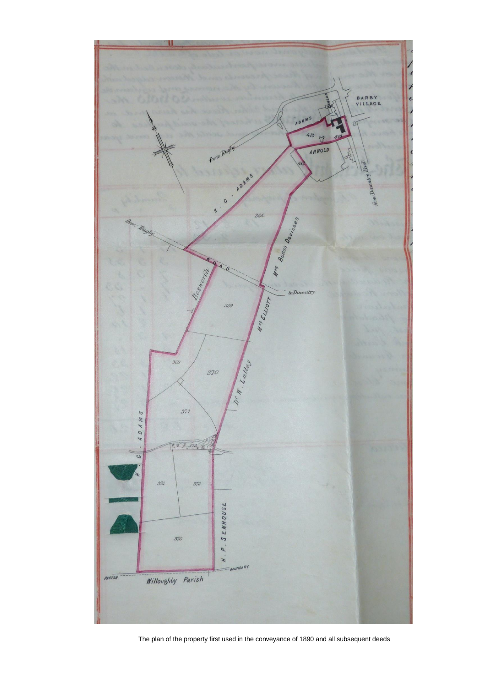

The plan of the property first used in the conveyance of 1890 and all subsequent deeds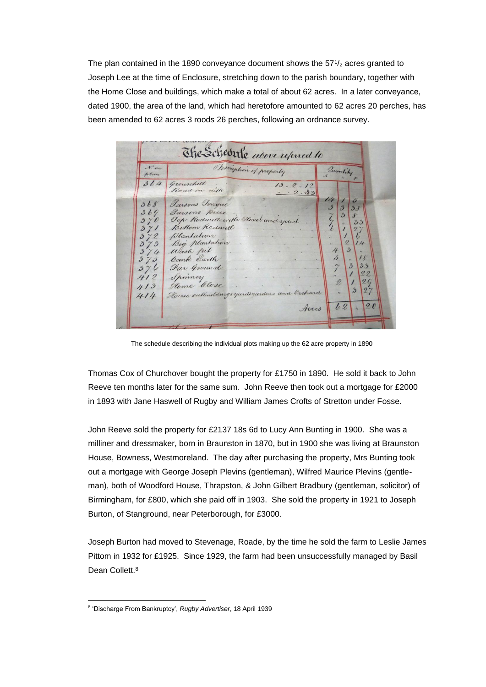The plan contained in the 1890 conveyance document shows the  $57\frac{1}{2}$  acres granted to Joseph Lee at the time of Enclosure, stretching down to the parish boundary, together with the Home Close and buildings, which make a total of about 62 acres. In a later conveyance, dated 1900, the area of the land, which had heretofore amounted to 62 acres 20 perches, has been amended to 62 acres 3 roods 26 perches, following an ordnance survey.

| $\mathcal{N}^{\circ}$ on<br>hlan | Description of property                          | Quantity                                                |
|----------------------------------|--------------------------------------------------|---------------------------------------------------------|
| 364                              | Grouschill<br>13.2.12<br>Road on dillo<br>.2.33  |                                                         |
| 368                              | Jarsons Tonque                                   | 14<br>ó<br>$\cdot$ <sup>3</sup><br>$\mathfrak{Z}$<br>38 |
| 369<br>370                       | Jarsons piece<br>Top Rodwell with Hovel and yard | $\mathfrak{Z}$<br>8                                     |
| 371                              | Bottom Rodwell                                   | 33                                                      |
| 372<br>373                       | Plantation<br>Big plantation                     | Ģ<br>$\mathcal{D}_{\mathcal{L}}$<br>14                  |
| 374                              | Wash pil                                         | $\mathfrak{D}$<br>4                                     |
| 370                              | bank barth<br>Far Ground                         | 5<br>18<br>$\overline{\mathbf{3}}$<br>3.3               |
| 376<br>412                       | Spinney                                          | 22                                                      |
| 413                              | Home Close                                       | 2Q<br>2<br>$\mathfrak{Z}$<br>27                         |
| 414                              | House outbuildings yardsgardens and Orchard      |                                                         |

The schedule describing the individual plots making up the 62 acre property in 1890

Thomas Cox of Churchover bought the property for £1750 in 1890. He sold it back to John Reeve ten months later for the same sum. John Reeve then took out a mortgage for £2000 in 1893 with Jane Haswell of Rugby and William James Crofts of Stretton under Fosse.

John Reeve sold the property for £2137 18s 6d to Lucy Ann Bunting in 1900. She was a milliner and dressmaker, born in Braunston in 1870, but in 1900 she was living at Braunston House, Bowness, Westmoreland. The day after purchasing the property, Mrs Bunting took out a mortgage with George Joseph Plevins (gentleman), Wilfred Maurice Plevins (gentleman), both of Woodford House, Thrapston, & John Gilbert Bradbury (gentleman, solicitor) of Birmingham, for £800, which she paid off in 1903. She sold the property in 1921 to Joseph Burton, of Stanground, near Peterborough, for £3000.

Joseph Burton had moved to Stevenage, Roade, by the time he sold the farm to Leslie James Pittom in 1932 for £1925. Since 1929, the farm had been unsuccessfully managed by Basil Dean Collett.<sup>8</sup>

<sup>8</sup> 'Discharge From Bankruptcy', *Rugby Advertiser*, 18 April 1939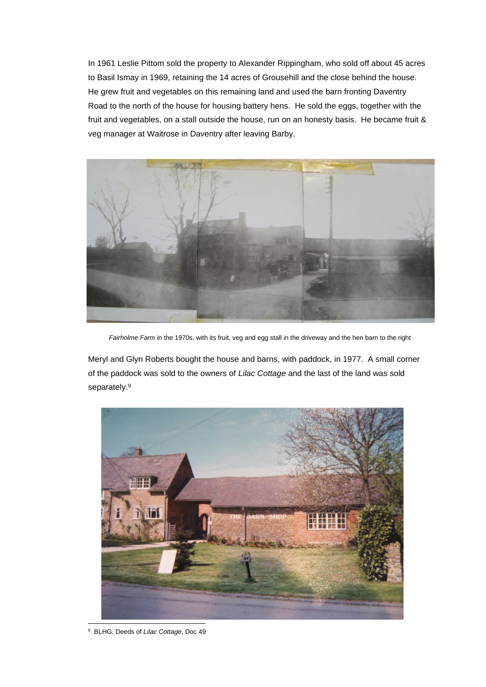In 1961 Leslie Pittom sold the property to Alexander Rippingham, who sold off about 45 acres to Basil Ismay in 1969, retaining the 14 acres of Grousehill and the close behind the house. He grew fruit and vegetables on this remaining land and used the barn fronting Daventry Road to the north of the house for housing battery hens. He sold the eggs, together with the fruit and vegetables, on a stall outside the house, run on an honesty basis. He became fruit & veg manager at Waitrose in Daventry after leaving Barby.



*Fairholme Farm* in the 1970s, with its fruit, veg and egg stall in the driveway and the hen barn to the right

Meryl and Glyn Roberts bought the house and barns, with paddock, in 1977. A small corner of the paddock was sold to the owners of *Lilac Cottage* and the last of the land was sold separately.<sup>9</sup>



9 BLHG, Deeds of *Lilac Cottage*, Doc 49